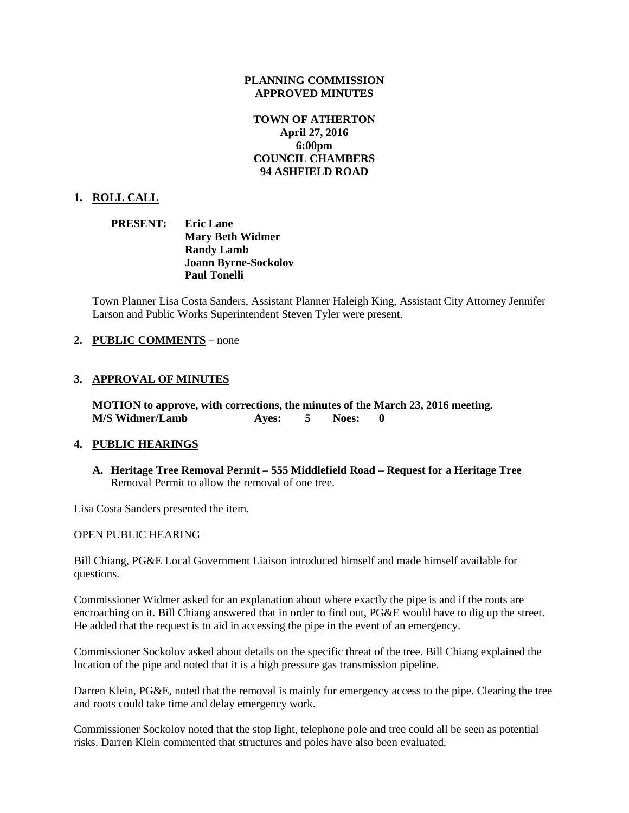### **PLANNING COMMISSION APPROVED MINUTES**

# **TOWN OF ATHERTON April 27, 2016 6:00pm COUNCIL CHAMBERS 94 ASHFIELD ROAD**

## **1. ROLL CALL**

**PRESENT: Eric Lane Mary Beth Widmer Randy Lamb Joann Byrne-Sockolov Paul Tonelli**

Town Planner Lisa Costa Sanders, Assistant Planner Haleigh King, Assistant City Attorney Jennifer Larson and Public Works Superintendent Steven Tyler were present.

### **2. PUBLIC COMMENTS** – none

### **3. APPROVAL OF MINUTES**

**MOTION to approve, with corrections, the minutes of the March 23, 2016 meeting. M/S Widmer/Lamb Ayes: 5 Noes: 0**

### **4. PUBLIC HEARINGS**

**A. Heritage Tree Removal Permit – 555 Middlefield Road – Request for a Heritage Tree** Removal Permit to allow the removal of one tree.

Lisa Costa Sanders presented the item.

#### OPEN PUBLIC HEARING

Bill Chiang, PG&E Local Government Liaison introduced himself and made himself available for questions.

Commissioner Widmer asked for an explanation about where exactly the pipe is and if the roots are encroaching on it. Bill Chiang answered that in order to find out, PG&E would have to dig up the street. He added that the request is to aid in accessing the pipe in the event of an emergency.

Commissioner Sockolov asked about details on the specific threat of the tree. Bill Chiang explained the location of the pipe and noted that it is a high pressure gas transmission pipeline.

Darren Klein, PG&E, noted that the removal is mainly for emergency access to the pipe. Clearing the tree and roots could take time and delay emergency work.

Commissioner Sockolov noted that the stop light, telephone pole and tree could all be seen as potential risks. Darren Klein commented that structures and poles have also been evaluated.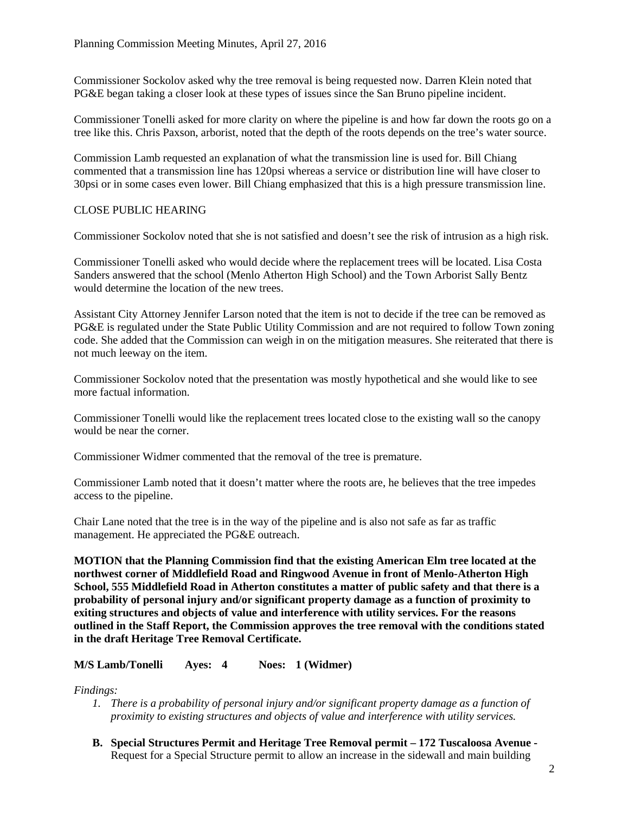Commissioner Sockolov asked why the tree removal is being requested now. Darren Klein noted that PG&E began taking a closer look at these types of issues since the San Bruno pipeline incident.

Commissioner Tonelli asked for more clarity on where the pipeline is and how far down the roots go on a tree like this. Chris Paxson, arborist, noted that the depth of the roots depends on the tree's water source.

Commission Lamb requested an explanation of what the transmission line is used for. Bill Chiang commented that a transmission line has 120psi whereas a service or distribution line will have closer to 30psi or in some cases even lower. Bill Chiang emphasized that this is a high pressure transmission line.

# CLOSE PUBLIC HEARING

Commissioner Sockolov noted that she is not satisfied and doesn't see the risk of intrusion as a high risk.

Commissioner Tonelli asked who would decide where the replacement trees will be located. Lisa Costa Sanders answered that the school (Menlo Atherton High School) and the Town Arborist Sally Bentz would determine the location of the new trees.

Assistant City Attorney Jennifer Larson noted that the item is not to decide if the tree can be removed as PG&E is regulated under the State Public Utility Commission and are not required to follow Town zoning code. She added that the Commission can weigh in on the mitigation measures. She reiterated that there is not much leeway on the item.

Commissioner Sockolov noted that the presentation was mostly hypothetical and she would like to see more factual information.

Commissioner Tonelli would like the replacement trees located close to the existing wall so the canopy would be near the corner.

Commissioner Widmer commented that the removal of the tree is premature.

Commissioner Lamb noted that it doesn't matter where the roots are, he believes that the tree impedes access to the pipeline.

Chair Lane noted that the tree is in the way of the pipeline and is also not safe as far as traffic management. He appreciated the PG&E outreach.

**MOTION that the Planning Commission find that the existing American Elm tree located at the northwest corner of Middlefield Road and Ringwood Avenue in front of Menlo-Atherton High School, 555 Middlefield Road in Atherton constitutes a matter of public safety and that there is a probability of personal injury and/or significant property damage as a function of proximity to exiting structures and objects of value and interference with utility services. For the reasons outlined in the Staff Report, the Commission approves the tree removal with the conditions stated in the draft Heritage Tree Removal Certificate.**

**M/S Lamb/Tonelli Ayes: 4 Noes: 1 (Widmer)**

*Findings:*

- *1. There is a probability of personal injury and/or significant property damage as a function of proximity to existing structures and objects of value and interference with utility services.*
- **B. Special Structures Permit and Heritage Tree Removal permit – 172 Tuscaloosa Avenue -** Request for a Special Structure permit to allow an increase in the sidewall and main building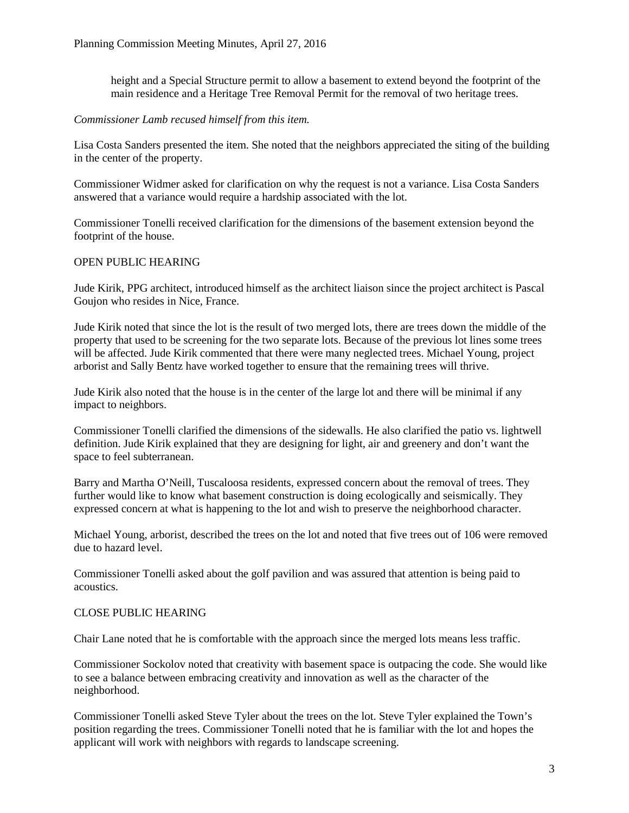height and a Special Structure permit to allow a basement to extend beyond the footprint of the main residence and a Heritage Tree Removal Permit for the removal of two heritage trees.

### *Commissioner Lamb recused himself from this item.*

Lisa Costa Sanders presented the item. She noted that the neighbors appreciated the siting of the building in the center of the property.

Commissioner Widmer asked for clarification on why the request is not a variance. Lisa Costa Sanders answered that a variance would require a hardship associated with the lot.

Commissioner Tonelli received clarification for the dimensions of the basement extension beyond the footprint of the house.

### OPEN PUBLIC HEARING

Jude Kirik, PPG architect, introduced himself as the architect liaison since the project architect is Pascal Goujon who resides in Nice, France.

Jude Kirik noted that since the lot is the result of two merged lots, there are trees down the middle of the property that used to be screening for the two separate lots. Because of the previous lot lines some trees will be affected. Jude Kirik commented that there were many neglected trees. Michael Young, project arborist and Sally Bentz have worked together to ensure that the remaining trees will thrive.

Jude Kirik also noted that the house is in the center of the large lot and there will be minimal if any impact to neighbors.

Commissioner Tonelli clarified the dimensions of the sidewalls. He also clarified the patio vs. lightwell definition. Jude Kirik explained that they are designing for light, air and greenery and don't want the space to feel subterranean.

Barry and Martha O'Neill, Tuscaloosa residents, expressed concern about the removal of trees. They further would like to know what basement construction is doing ecologically and seismically. They expressed concern at what is happening to the lot and wish to preserve the neighborhood character.

Michael Young, arborist, described the trees on the lot and noted that five trees out of 106 were removed due to hazard level.

Commissioner Tonelli asked about the golf pavilion and was assured that attention is being paid to acoustics.

### CLOSE PUBLIC HEARING

Chair Lane noted that he is comfortable with the approach since the merged lots means less traffic.

Commissioner Sockolov noted that creativity with basement space is outpacing the code. She would like to see a balance between embracing creativity and innovation as well as the character of the neighborhood.

Commissioner Tonelli asked Steve Tyler about the trees on the lot. Steve Tyler explained the Town's position regarding the trees. Commissioner Tonelli noted that he is familiar with the lot and hopes the applicant will work with neighbors with regards to landscape screening.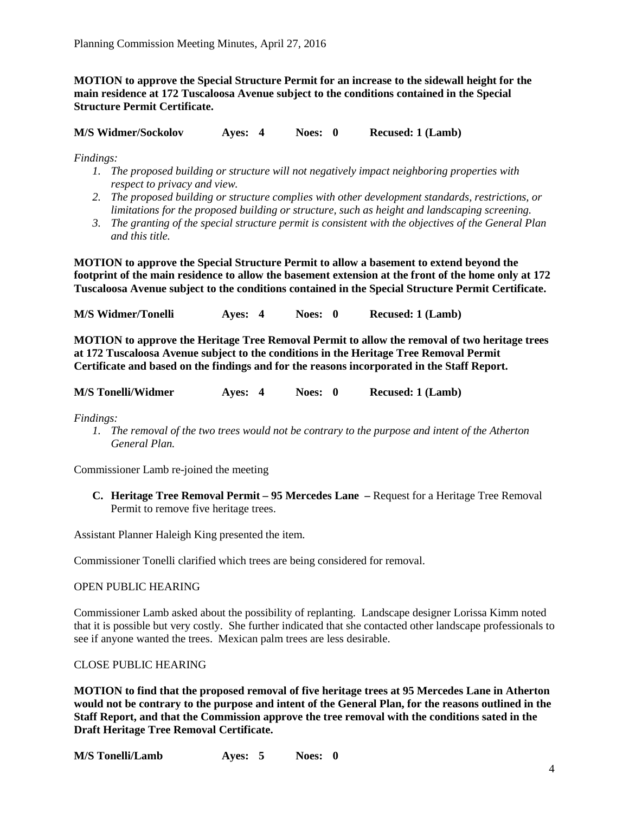**MOTION to approve the Special Structure Permit for an increase to the sidewall height for the main residence at 172 Tuscaloosa Avenue subject to the conditions contained in the Special Structure Permit Certificate.**

**M/S Widmer/Sockolov Ayes: 4 Noes: 0 Recused: 1 (Lamb)**

*Findings:*

- *1. The proposed building or structure will not negatively impact neighboring properties with respect to privacy and view.*
- *2. The proposed building or structure complies with other development standards, restrictions, or limitations for the proposed building or structure, such as height and landscaping screening.*
- *3. The granting of the special structure permit is consistent with the objectives of the General Plan and this title.*

**MOTION to approve the Special Structure Permit to allow a basement to extend beyond the footprint of the main residence to allow the basement extension at the front of the home only at 172 Tuscaloosa Avenue subject to the conditions contained in the Special Structure Permit Certificate.**

**M/S Widmer/Tonelli Ayes: 4 Noes: 0 Recused: 1 (Lamb)**

**MOTION to approve the Heritage Tree Removal Permit to allow the removal of two heritage trees at 172 Tuscaloosa Avenue subject to the conditions in the Heritage Tree Removal Permit Certificate and based on the findings and for the reasons incorporated in the Staff Report.**

| <b>M/S Tonelli/Widmer</b> | Aves: 4 | Noes: 0 | <b>Recused: 1 (Lamb)</b> |
|---------------------------|---------|---------|--------------------------|
|                           |         |         |                          |

*Findings:*

*1. The removal of the two trees would not be contrary to the purpose and intent of the Atherton General Plan.*

Commissioner Lamb re-joined the meeting

**C. Heritage Tree Removal Permit – 95 Mercedes Lane –** Request for a Heritage Tree Removal Permit to remove five heritage trees.

Assistant Planner Haleigh King presented the item.

Commissioner Tonelli clarified which trees are being considered for removal.

### OPEN PUBLIC HEARING

Commissioner Lamb asked about the possibility of replanting. Landscape designer Lorissa Kimm noted that it is possible but very costly. She further indicated that she contacted other landscape professionals to see if anyone wanted the trees. Mexican palm trees are less desirable.

### CLOSE PUBLIC HEARING

**MOTION to find that the proposed removal of five heritage trees at 95 Mercedes Lane in Atherton would not be contrary to the purpose and intent of the General Plan, for the reasons outlined in the Staff Report, and that the Commission approve the tree removal with the conditions sated in the Draft Heritage Tree Removal Certificate.**

**M/S Tonelli/Lamb Ayes: 5 Noes: 0**